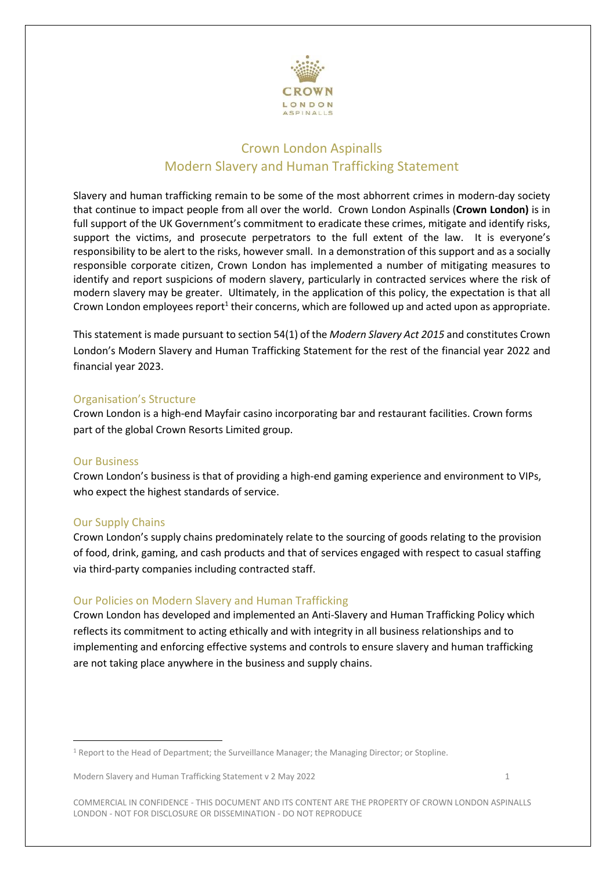

# Crown London Aspinalls Modern Slavery and Human Trafficking Statement

Slavery and human trafficking remain to be some of the most abhorrent crimes in modern-day society that continue to impact people from all over the world. Crown London Aspinalls (**Crown London)** is in full support of the UK Government's commitment to eradicate these crimes, mitigate and identify risks, support the victims, and prosecute perpetrators to the full extent of the law. It is everyone's responsibility to be alert to the risks, however small. In a demonstration of this support and as a socially responsible corporate citizen, Crown London has implemented a number of mitigating measures to identify and report suspicions of modern slavery, particularly in contracted services where the risk of modern slavery may be greater. Ultimately, in the application of this policy, the expectation is that all Crown London employees report<sup>1</sup> their concerns, which are followed up and acted upon as appropriate.

This statement is made pursuant to section 54(1) of the *Modern Slavery Act 2015* and constitutes Crown London's Modern Slavery and Human Trafficking Statement for the rest of the financial year 2022 and financial year 2023.

#### Organisation's Structure

Crown London is a high-end Mayfair casino incorporating bar and restaurant facilities. Crown forms part of the global Crown Resorts Limited group.

#### Our Business

 $\overline{\phantom{a}}$ 

Crown London's business is that of providing a high-end gaming experience and environment to VIPs, who expect the highest standards of service.

## Our Supply Chains

Crown London's supply chains predominately relate to the sourcing of goods relating to the provision of food, drink, gaming, and cash products and that of services engaged with respect to casual staffing via third-party companies including contracted staff.

## Our Policies on Modern Slavery and Human Trafficking

Crown London has developed and implemented an Anti-Slavery and Human Trafficking Policy which reflects its commitment to acting ethically and with integrity in all business relationships and to implementing and enforcing effective systems and controls to ensure slavery and human trafficking are not taking place anywhere in the business and supply chains.

<sup>1</sup> Report to the Head of Department; the Surveillance Manager; the Managing Director; or Stopline.

Modern Slavery and Human Trafficking Statement v 2 May 2022 1

COMMERCIAL IN CONFIDENCE - THIS DOCUMENT AND ITS CONTENT ARE THE PROPERTY OF CROWN LONDON ASPINALLS LONDON - NOT FOR DISCLOSURE OR DISSEMINATION - DO NOT REPRODUCE